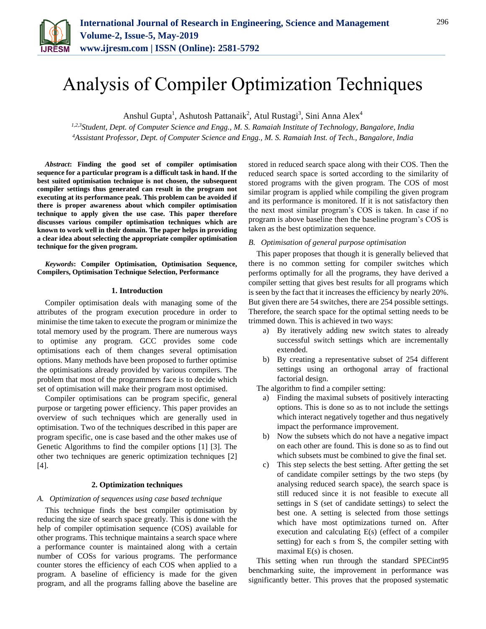

# Analysis of Compiler Optimization Techniques

Anshul Gupta<sup>1</sup>, Ashutosh Pattanaik<sup>2</sup>, Atul Rustagi<sup>3</sup>, Sini Anna Alex<sup>4</sup>

*1,2,3Student, Dept. of Computer Science and Engg., M. S. Ramaiah Institute of Technology, Bangalore, India <sup>4</sup>Assistant Professor, Dept. of Computer Science and Engg., M. S. Ramaiah Inst. of Tech., Bangalore, India*

*Abstract***: Finding the good set of compiler optimisation sequence for a particular program is a difficult task in hand. If the best suited optimisation technique is not chosen, the subsequent compiler settings thus generated can result in the program not executing at its performance peak. This problem can be avoided if there is proper awareness about which compiler optimisation technique to apply given the use case. This paper therefore discusses various compiler optimisation techniques which are known to work well in their domain. The paper helps in providing a clear idea about selecting the appropriate compiler optimisation technique for the given program.**

*Keywords***: Compiler Optimisation, Optimisation Sequence, Compilers, Optimisation Technique Selection, Performance** 

#### **1. Introduction**

Compiler optimisation deals with managing some of the attributes of the program execution procedure in order to minimise the time taken to execute the program or minimize the total memory used by the program. There are numerous ways to optimise any program. GCC provides some code optimisations each of them changes several optimisation options. Many methods have been proposed to further optimise the optimisations already provided by various compilers. The problem that most of the programmers face is to decide which set of optimisation will make their program most optimised.

Compiler optimisations can be program specific, general purpose or targeting power efficiency. This paper provides an overview of such techniques which are generally used in optimisation. Two of the techniques described in this paper are program specific, one is case based and the other makes use of Genetic Algorithms to find the compiler options [1] [3]. The other two techniques are generic optimization techniques [2] [4].

# **2. Optimization techniques**

# *A. Optimization of sequences using case based technique*

This technique finds the best compiler optimisation by reducing the size of search space greatly. This is done with the help of compiler optimisation sequence (COS) available for other programs. This technique maintains a search space where a performance counter is maintained along with a certain number of COSs for various programs. The performance counter stores the efficiency of each COS when applied to a program. A baseline of efficiency is made for the given program, and all the programs falling above the baseline are

stored in reduced search space along with their COS. Then the reduced search space is sorted according to the similarity of stored programs with the given program. The COS of most similar program is applied while compiling the given program and its performance is monitored. If it is not satisfactory then the next most similar program's COS is taken. In case if no program is above baseline then the baseline program's COS is taken as the best optimization sequence.

#### *B. Optimisation of general purpose optimisation*

This paper proposes that though it is generally believed that there is no common setting for compiler switches which performs optimally for all the programs, they have derived a compiler setting that gives best results for all programs which is seen by the fact that it increases the efficiency by nearly 20%. But given there are 54 switches, there are 254 possible settings. Therefore, the search space for the optimal setting needs to be trimmed down. This is achieved in two ways:

- a) By iteratively adding new switch states to already successful switch settings which are incrementally extended.
- b) By creating a representative subset of 254 different settings using an orthogonal array of fractional factorial design.

The algorithm to find a compiler setting:

- a) Finding the maximal subsets of positively interacting options. This is done so as to not include the settings which interact negatively together and thus negatively impact the performance improvement.
- b) Now the subsets which do not have a negative impact on each other are found. This is done so as to find out which subsets must be combined to give the final set.
- c) This step selects the best setting. After getting the set of candidate compiler settings by the two steps (by analysing reduced search space), the search space is still reduced since it is not feasible to execute all settings in S (set of candidate settings) to select the best one. A setting is selected from those settings which have most optimizations turned on. After execution and calculating E(s) (effect of a compiler setting) for each s from S, the compiler setting with maximal E(s) is chosen.

This setting when run through the standard SPECint95 benchmarking suite, the improvement in performance was significantly better. This proves that the proposed systematic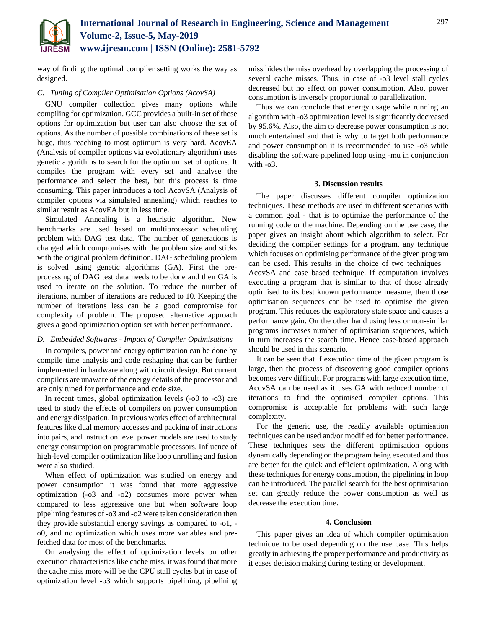

way of finding the optimal compiler setting works the way as designed.

# *C. Tuning of Compiler Optimisation Options (AcovSA)*

GNU compiler collection gives many options while compiling for optimization. GCC provides a built-in set of these options for optimization but user can also choose the set of options. As the number of possible combinations of these set is huge, thus reaching to most optimum is very hard. AcovEA (Analysis of compiler options via evolutionary algorithm) uses genetic algorithms to search for the optimum set of options. It compiles the program with every set and analyse the performance and select the best, but this process is time consuming. This paper introduces a tool AcovSA (Analysis of compiler options via simulated annealing) which reaches to similar result as AcovEA but in less time.

Simulated Annealing is a heuristic algorithm. New benchmarks are used based on multiprocessor scheduling problem with DAG test data. The number of generations is changed which compromises with the problem size and sticks with the original problem definition. DAG scheduling problem is solved using genetic algorithms (GA). First the preprocessing of DAG test data needs to be done and then GA is used to iterate on the solution. To reduce the number of iterations, number of iterations are reduced to 10. Keeping the number of iterations less can be a good compromise for complexity of problem. The proposed alternative approach gives a good optimization option set with better performance.

# *D. Embedded Softwares - Impact of Compiler Optimisations*

In compilers, power and energy optimization can be done by compile time analysis and code reshaping that can be further implemented in hardware along with circuit design. But current compilers are unaware of the energy details of the processor and are only tuned for performance and code size.

In recent times, global optimization levels (-o0 to -o3) are used to study the effects of compilers on power consumption and energy dissipation. In previous works effect of architectural features like dual memory accesses and packing of instructions into pairs, and instruction level power models are used to study energy consumption on programmable processors. Influence of high-level compiler optimization like loop unrolling and fusion were also studied.

When effect of optimization was studied on energy and power consumption it was found that more aggressive optimization (-o3 and -o2) consumes more power when compared to less aggressive one but when software loop pipelining features of -o3 and -o2 were taken consideration then they provide substantial energy savings as compared to -o1, o0, and no optimization which uses more variables and prefetched data for most of the benchmarks.

On analysing the effect of optimization levels on other execution characteristics like cache miss, it was found that more the cache miss more will be the CPU stall cycles but in case of optimization level -o3 which supports pipelining, pipelining

miss hides the miss overhead by overlapping the processing of several cache misses. Thus, in case of -o3 level stall cycles decreased but no effect on power consumption. Also, power consumption is inversely proportional to parallelization.

Thus we can conclude that energy usage while running an algorithm with -o3 optimization level is significantly decreased by 95.6%. Also, the aim to decrease power consumption is not much entertained and that is why to target both performance and power consumption it is recommended to use -o3 while disabling the software pipelined loop using -mu in conjunction with -o3.

# **3. Discussion results**

The paper discusses different compiler optimization techniques. These methods are used in different scenarios with a common goal - that is to optimize the performance of the running code or the machine. Depending on the use case, the paper gives an insight about which algorithm to select. For deciding the compiler settings for a program, any technique which focuses on optimising performance of the given program can be used. This results in the choice of two techniques – AcovSA and case based technique. If computation involves executing a program that is similar to that of those already optimised to its best known performance measure, then those optimisation sequences can be used to optimise the given program. This reduces the exploratory state space and causes a performance gain. On the other hand using less or non-similar programs increases number of optimisation sequences, which in turn increases the search time. Hence case-based approach should be used in this scenario.

It can be seen that if execution time of the given program is large, then the process of discovering good compiler options becomes very difficult. For programs with large execution time, AcovSA can be used as it uses GA with reduced number of iterations to find the optimised compiler options. This compromise is acceptable for problems with such large complexity.

For the generic use, the readily available optimisation techniques can be used and/or modified for better performance. These techniques sets the different optimisation options dynamically depending on the program being executed and thus are better for the quick and efficient optimization. Along with these techniques for energy consumption, the pipelining in loop can be introduced. The parallel search for the best optimisation set can greatly reduce the power consumption as well as decrease the execution time.

#### **4. Conclusion**

This paper gives an idea of which compiler optimisation technique to be used depending on the use case. This helps greatly in achieving the proper performance and productivity as it eases decision making during testing or development.